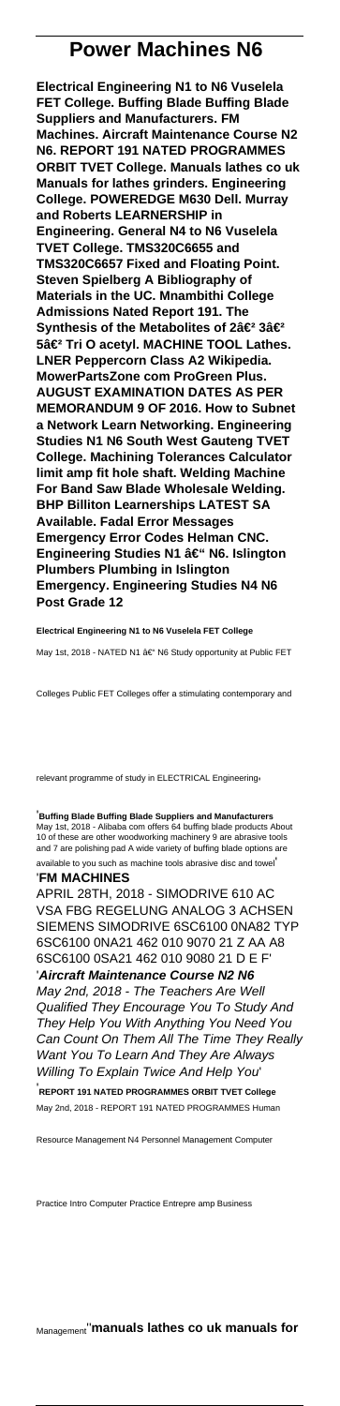## **Power Machines N6**

**Electrical Engineering N1 to N6 Vuselela FET College. Buffing Blade Buffing Blade Suppliers and Manufacturers. FM Machines. Aircraft Maintenance Course N2 N6. REPORT 191 NATED PROGRAMMES ORBIT TVET College. Manuals lathes co uk Manuals for lathes grinders. Engineering College. POWEREDGE M630 Dell. Murray and Roberts LEARNERSHIP in Engineering. General N4 to N6 Vuselela TVET College. TMS320C6655 and TMS320C6657 Fixed and Floating Point. Steven Spielberg A Bibliography of Materials in the UC. Mnambithi College Admissions Nated Report 191. The Synthesis of the Metabolites of 2â€<sup>2</sup> 3â€<sup>2</sup> 5â€<sup>2</sup> Tri O acetyl. MACHINE TOOL Lathes. LNER Peppercorn Class A2 Wikipedia. MowerPartsZone com ProGreen Plus. AUGUST EXAMINATION DATES AS PER MEMORANDUM 9 OF 2016. How to Subnet a Network Learn Networking. Engineering Studies N1 N6 South West Gauteng TVET College. Machining Tolerances Calculator limit amp fit hole shaft. Welding Machine For Band Saw Blade Wholesale Welding. BHP Billiton Learnerships LATEST SA Available. Fadal Error Messages Emergency Error Codes Helman CNC. Engineering Studies N1 – N6. Islington Plumbers Plumbing in Islington Emergency. Engineering Studies N4 N6 Post Grade 12**

**Electrical Engineering N1 to N6 Vuselela FET College** May 1st, 2018 - NATED N1 †N6 Study opportunity at Public FET

Colleges Public FET Colleges offer a stimulating contemporary and

relevant programme of study in ELECTRICAL Engineering,

'**Buffing Blade Buffing Blade Suppliers and Manufacturers** May 1st, 2018 - Alibaba com offers 64 buffing blade products About of these are other woodworking machinery 9 are abrasive tools and 7 are polishing pad A wide variety of buffing blade options are available to you such as machine tools abrasive disc and towel'

'**FM MACHINES**

APRIL 28TH, 2018 - SIMODRIVE 610 AC VSA FBG REGELUNG ANALOG 3 ACHSEN SIEMENS SIMODRIVE 6SC6100 0NA82 TYP 6SC6100 0NA21 462 010 9070 21 Z AA A8 6SC6100 0SA21 462 010 9080 21 D E F' '**Aircraft Maintenance Course N2 N6** May 2nd, 2018 - The Teachers Are Well Qualified They Encourage You To Study And They Help You With Anything You Need You Can Count On Them All The Time They Really Want You To Learn And They Are Always Willing To Explain Twice And Help You' '**REPORT 191 NATED PROGRAMMES ORBIT TVET College** May 2nd, 2018 - REPORT 191 NATED PROGRAMMES Human

Resource Management N4 Personnel Management Computer

Practice Intro Computer Practice Entrepre amp Business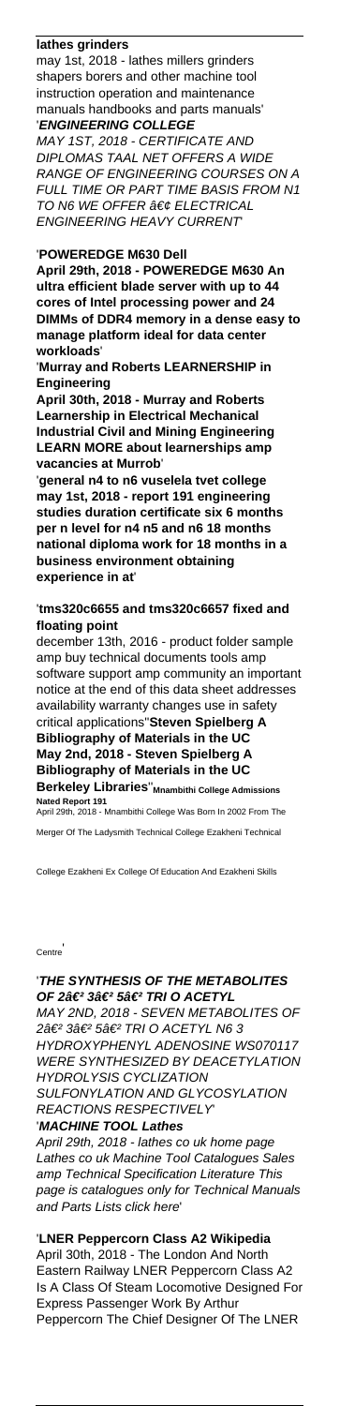## **lathes grinders**

may 1st, 2018 - lathes millers grinders shapers borers and other machine tool instruction operation and maintenance manuals handbooks and parts manuals' '**ENGINEERING COLLEGE**

MAY 1ST, 2018 - CERTIFICATE AND DIPLOMAS TAAL NET OFFERS A WIDE RANGE OF ENGINEERING COURSES ON A FULL TIME OR PART TIME BASIS FROM N1 TO N6 WE OFFER  $\hat{a}\in\mathcal{C}$  ELECTRICAL ENGINEERING HEAVY CURRENT'

## '**POWEREDGE M630 Dell**

**April 29th, 2018 - POWEREDGE M630 An ultra efficient blade server with up to 44 cores of Intel processing power and 24 DIMMs of DDR4 memory in a dense easy to manage platform ideal for data center workloads**'

'**Murray and Roberts LEARNERSHIP in Engineering**

**April 30th, 2018 - Murray and Roberts Learnership in Electrical Mechanical Industrial Civil and Mining Engineering LEARN MORE about learnerships amp vacancies at Murrob**'

'**general n4 to n6 vuselela tvet college may 1st, 2018 - report 191 engineering studies duration certificate six 6 months per n level for n4 n5 and n6 18 months national diploma work for 18 months in a business environment obtaining experience in at**'

### '**tms320c6655 and tms320c6657 fixed and floating point**

december 13th, 2016 - product folder sample amp buy technical documents tools amp software support amp community an important notice at the end of this data sheet addresses availability warranty changes use in safety critical applications''**Steven Spielberg A Bibliography of Materials in the UC May 2nd, 2018 - Steven Spielberg A Bibliography of Materials in the UC Berkeley Libraries**''**Mnambithi College Admissions Nated Report 191**

April 29th, 2018 - Mnambithi College Was Born In 2002 From The Merger Of The Ladysmith Technical College Ezakheni Technical

College Ezakheni Ex College Of Education And Ezakheni Skills

#### **Centre**

## '**THE SYNTHESIS OF THE METABOLITES** OF 2â€<sup>2</sup> 3â€<sup>2</sup> 5â€<sup>2</sup> TRI O ACETYL MAY 2ND, 2018 - SEVEN METABOLITES OF

2â€<sup>2</sup> 3â€<sup>2</sup> 5â€<sup>2</sup> TRI O ACETYL N6 3 HYDROXYPHENYL ADENOSINE WS070117 WERE SYNTHESIZED BY DEACETYLATION HYDROLYSIS CYCLIZATION

SULFONYLATION AND GLYCOSYLATION REACTIONS RESPECTIVELY' '**MACHINE TOOL Lathes**

April 29th, 2018 - lathes co uk home page Lathes co uk Machine Tool Catalogues Sales amp Technical Specification Literature This page is catalogues only for Technical Manuals and Parts Lists click here'

'**LNER Peppercorn Class A2 Wikipedia** April 30th, 2018 - The London And North Eastern Railway LNER Peppercorn Class A2 Is A Class Of Steam Locomotive Designed For Express Passenger Work By Arthur Peppercorn The Chief Designer Of The LNER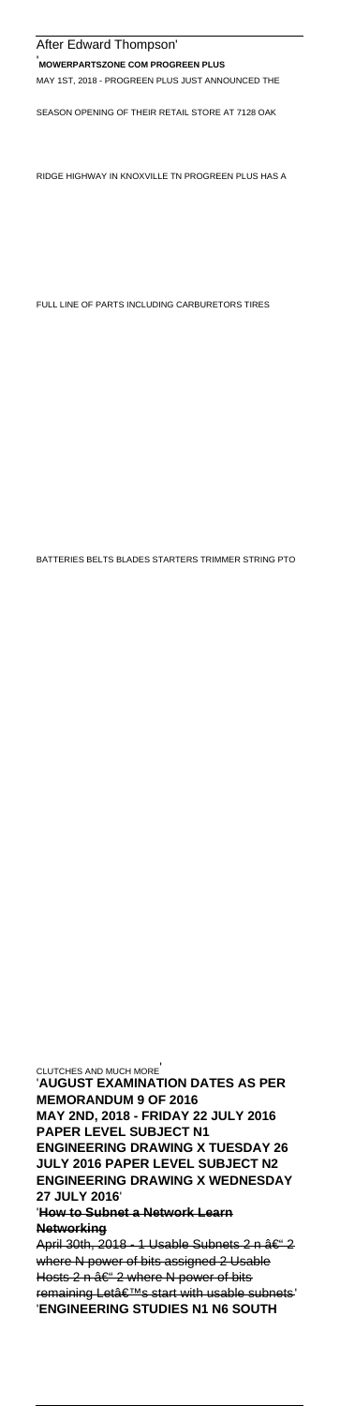### After Edward Thompson'

#### '**MOWERPARTSZONE COM PROGREEN PLUS**

MAY 1ST, 2018 - PROGREEN PLUS JUST ANNOUNCED THE

SEASON OPENING OF THEIR RETAIL STORE AT 7128 OAK

RIDGE HIGHWAY IN KNOXVILLE TN PROGREEN PLUS HAS A

FULL LINE OF PARTS INCLUDING CARBURETORS TIRES

BATTERIES BELTS BLADES STARTERS TRIMMER STRING PTO

CLUTCHES AND MUCH MORE' '**AUGUST EXAMINATION DATES AS PER MEMORANDUM 9 OF 2016 MAY 2ND, 2018 - FRIDAY 22 JULY 2016 PAPER LEVEL SUBJECT N1 ENGINEERING DRAWING X TUESDAY 26 JULY 2016 PAPER LEVEL SUBJECT N2 ENGINEERING DRAWING X WEDNESDAY 27 JULY 2016**' '**How to Subnet a Network Learn Networking** April 30th, 2018 - 1 Usable Subnets 2 n – 2 where N power of bits assigned 2 Usable Hosts 2 n  $\hat{a} \in \hat{ }$  2 where N power of bits

remaining Let's start with usable subnets' '**ENGINEERING STUDIES N1 N6 SOUTH**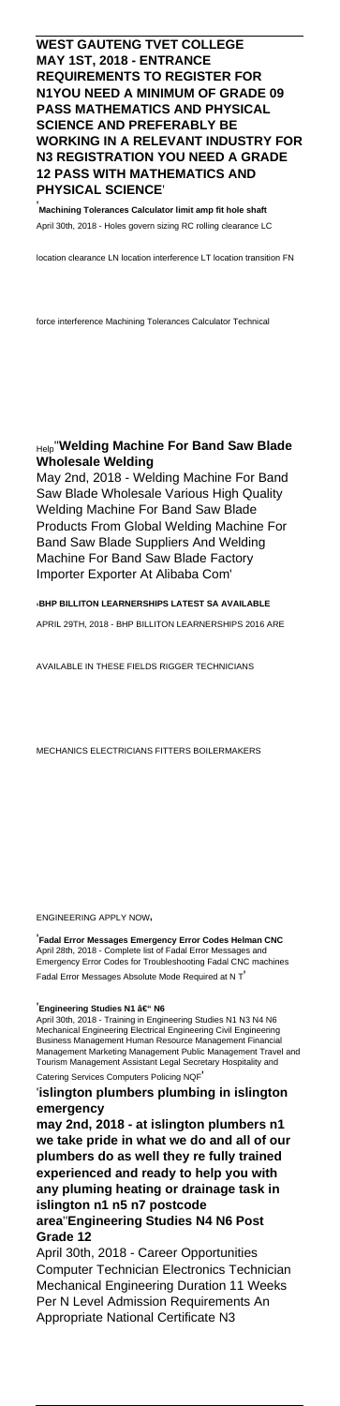## **WEST GAUTENG TVET COLLEGE MAY 1ST, 2018 - ENTRANCE REQUIREMENTS TO REGISTER FOR N1YOU NEED A MINIMUM OF GRADE 09 PASS MATHEMATICS AND PHYSICAL SCIENCE AND PREFERABLY BE WORKING IN A RELEVANT INDUSTRY FOR N3 REGISTRATION YOU NEED A GRADE 12 PASS WITH MATHEMATICS AND PHYSICAL SCIENCE**'

'**Machining Tolerances Calculator limit amp fit hole shaft** April 30th, 2018 - Holes govern sizing RC rolling clearance LC

location clearance LN location interference LT location transition FN

force interference Machining Tolerances Calculator Technical

## Help''**Welding Machine For Band Saw Blade Wholesale Welding**

May 2nd, 2018 - Welding Machine For Band Saw Blade Wholesale Various High Quality Welding Machine For Band Saw Blade Products From Global Welding Machine For Band Saw Blade Suppliers And Welding Machine For Band Saw Blade Factory Importer Exporter At Alibaba Com'

'**BHP BILLITON LEARNERSHIPS LATEST SA AVAILABLE** APRIL 29TH, 2018 - BHP BILLITON LEARNERSHIPS 2016 ARE

AVAILABLE IN THESE FIELDS RIGGER TECHNICIANS

MECHANICS ELECTRICIANS FITTERS BOILERMAKERS

ENGINEERING APPLY NOW'

'**Fadal Error Messages Emergency Error Codes Helman CNC** April 28th, 2018 - Complete list of Fadal Error Messages and Emergency Error Codes for Troubleshooting Fadal CNC machines Fadal Error Messages Absolute Mode Required at N T'

#### <sup>'</sup>Engineering Studies N1 – N6

April 30th, 2018 - Training in Engineering Studies N1 N3 N4 N6 Mechanical Engineering Electrical Engineering Civil Engineering Business Management Human Resource Management Financial Management Marketing Management Public Management Travel and Tourism Management Assistant Legal Secretary Hospitality and Catering Services Computers Policing NQF'

'**islington plumbers plumbing in islington emergency**

**may 2nd, 2018 - at islington plumbers n1 we take pride in what we do and all of our pland as well they re fully experienced and ready to help you with any pluming heating or drainage task in islington n1 n5 n7 postcode area**''**Engineering Studies N4 N6 Post Grade 12**

April 30th, 2018 - Career Opportunities Computer Technician Electronics Technician Mechanical Engineering Duration 11 Weeks Per N Level Admission Requirements An Appropriate National Certificate N3